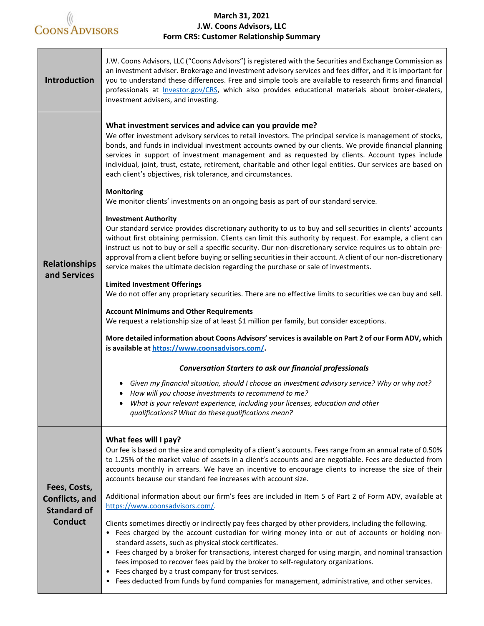

## **March 31, 2021 J.W. Coons Advisors, LLC Form CRS: Customer Relationship Summary**

| Introduction                                                                  | J.W. Coons Advisors, LLC ("Coons Advisors") is registered with the Securities and Exchange Commission as<br>an investment adviser. Brokerage and investment advisory services and fees differ, and it is important for<br>you to understand these differences. Free and simple tools are available to research firms and financial<br>professionals at <i>Investor.gov/CRS</i> , which also provides educational materials about broker-dealers,<br>investment advisers, and investing.                                                                                                |
|-------------------------------------------------------------------------------|----------------------------------------------------------------------------------------------------------------------------------------------------------------------------------------------------------------------------------------------------------------------------------------------------------------------------------------------------------------------------------------------------------------------------------------------------------------------------------------------------------------------------------------------------------------------------------------|
| <b>Relationships</b><br>and Services                                          | What investment services and advice can you provide me?<br>We offer investment advisory services to retail investors. The principal service is management of stocks,<br>bonds, and funds in individual investment accounts owned by our clients. We provide financial planning<br>services in support of investment management and as requested by clients. Account types include<br>individual, joint, trust, estate, retirement, charitable and other legal entities. Our services are based on<br>each client's objectives, risk tolerance, and circumstances.<br><b>Monitoring</b> |
|                                                                               | We monitor clients' investments on an ongoing basis as part of our standard service.                                                                                                                                                                                                                                                                                                                                                                                                                                                                                                   |
|                                                                               | <b>Investment Authority</b><br>Our standard service provides discretionary authority to us to buy and sell securities in clients' accounts<br>without first obtaining permission. Clients can limit this authority by request. For example, a client can<br>instruct us not to buy or sell a specific security. Our non-discretionary service requires us to obtain pre-<br>approval from a client before buying or selling securities in their account. A client of our non-discretionary<br>service makes the ultimate decision regarding the purchase or sale of investments.       |
|                                                                               | <b>Limited Investment Offerings</b><br>We do not offer any proprietary securities. There are no effective limits to securities we can buy and sell.                                                                                                                                                                                                                                                                                                                                                                                                                                    |
|                                                                               |                                                                                                                                                                                                                                                                                                                                                                                                                                                                                                                                                                                        |
|                                                                               | <b>Account Minimums and Other Requirements</b><br>We request a relationship size of at least \$1 million per family, but consider exceptions.                                                                                                                                                                                                                                                                                                                                                                                                                                          |
|                                                                               | More detailed information about Coons Advisors' services is available on Part 2 of our Form ADV, which<br>is available at https://www.coonsadvisors.com/.                                                                                                                                                                                                                                                                                                                                                                                                                              |
|                                                                               | <b>Conversation Starters to ask our financial professionals</b>                                                                                                                                                                                                                                                                                                                                                                                                                                                                                                                        |
|                                                                               | Given my financial situation, should I choose an investment advisory service? Why or why not?                                                                                                                                                                                                                                                                                                                                                                                                                                                                                          |
|                                                                               | How will you choose investments to recommend to me?<br>What is your relevant experience, including your licenses, education and other                                                                                                                                                                                                                                                                                                                                                                                                                                                  |
|                                                                               | qualifications? What do these qualifications mean?                                                                                                                                                                                                                                                                                                                                                                                                                                                                                                                                     |
| Fees, Costs,<br><b>Conflicts, and</b><br><b>Standard of</b><br><b>Conduct</b> | What fees will I pay?<br>Our fee is based on the size and complexity of a client's accounts. Fees range from an annual rate of 0.50%<br>to 1.25% of the market value of assets in a client's accounts and are negotiable. Fees are deducted from<br>accounts monthly in arrears. We have an incentive to encourage clients to increase the size of their<br>accounts because our standard fee increases with account size.                                                                                                                                                             |
|                                                                               | Additional information about our firm's fees are included in Item 5 of Part 2 of Form ADV, available at<br>https://www.coonsadvisors.com/                                                                                                                                                                                                                                                                                                                                                                                                                                              |
|                                                                               | Clients sometimes directly or indirectly pay fees charged by other providers, including the following.<br>• Fees charged by the account custodian for wiring money into or out of accounts or holding non-<br>standard assets, such as physical stock certificates.                                                                                                                                                                                                                                                                                                                    |
|                                                                               | • Fees charged by a broker for transactions, interest charged for using margin, and nominal transaction<br>fees imposed to recover fees paid by the broker to self-regulatory organizations.                                                                                                                                                                                                                                                                                                                                                                                           |
|                                                                               | • Fees charged by a trust company for trust services.<br>• Fees deducted from funds by fund companies for management, administrative, and other services.                                                                                                                                                                                                                                                                                                                                                                                                                              |